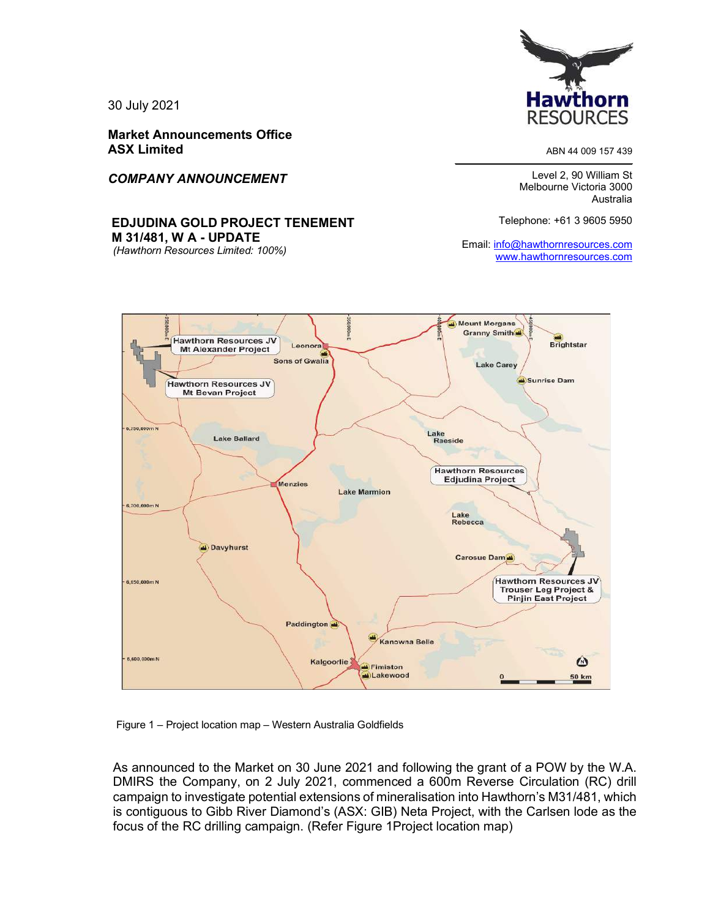

30 July 2021

**Market Announcements Office ASX Limited**

*COMPANY ANNOUNCEMENT*

#### **EDJUDINA GOLD PROJECT TENEMENT M 31/481, W A - UPDATE**

*(Hawthorn Resources Limited: 100%)*

ABN 44 009 157 439

Level 2, 90 William St Melbourne Victoria 3000 Australia

Telephone: +61 3 9605 5950

Email: info@hawthornresources.com www.hawthornresources.com



Figure 1 – Project location map – Western Australia Goldfields

As announced to the Market on 30 June 2021 and following the grant of a POW by the W.A. DMIRS the Company, on 2 July 2021, commenced a 600m Reverse Circulation (RC) drill campaign to investigate potential extensions of mineralisation into Hawthorn's M31/481, which is contiguous to Gibb River Diamond's (ASX: GIB) Neta Project, with the Carlsen lode as the focus of the RC drilling campaign. (Refer Figure 1Project location map)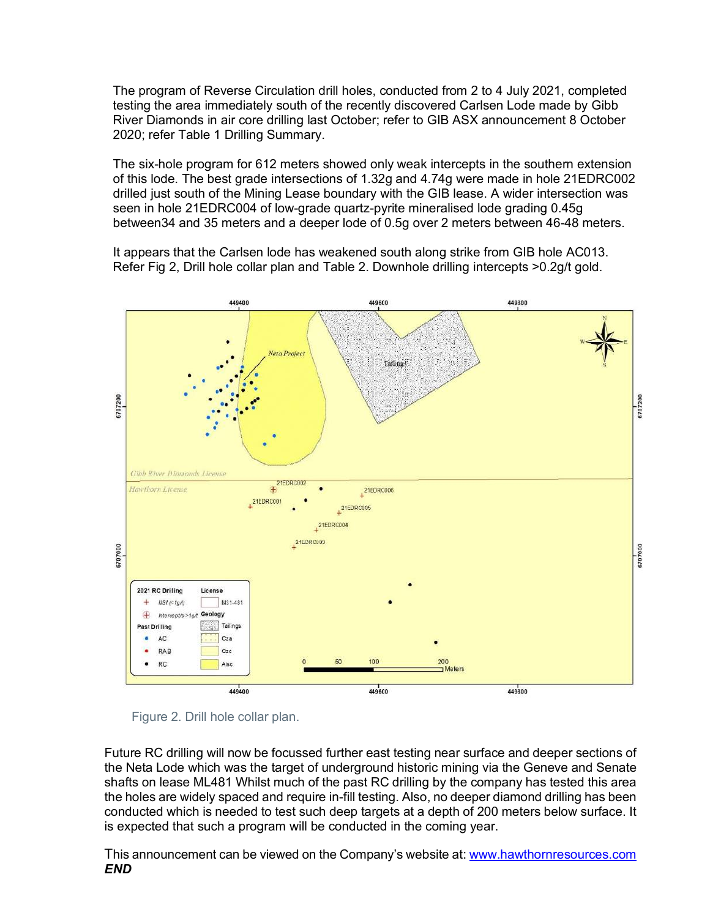The program of Reverse Circulation drill holes, conducted from 2 to 4 July 2021, completed testing the area immediately south of the recently discovered Carlsen Lode made by Gibb River Diamonds in air core drilling last October; refer to GIB ASX announcement 8 October 2020; refer Table 1 Drilling Summary.

The six-hole program for 612 meters showed only weak intercepts in the southern extension of this lode. The best grade intersections of 1.32g and 4.74g were made in hole 21EDRC002 drilled just south of the Mining Lease boundary with the GIB lease. A wider intersection was seen in hole 21EDRC004 of low-grade quartz-pyrite mineralised lode grading 0.45g between34 and 35 meters and a deeper lode of 0.5g over 2 meters between 46-48 meters.

It appears that the Carlsen lode has weakened south along strike from GIB hole AC013. Refer Fig 2, Drill hole collar plan and Table 2. Downhole drilling intercepts >0.2g/t gold.



Figure 2. Drill hole collar plan.

Future RC drilling will now be focussed further east testing near surface and deeper sections of the Neta Lode which was the target of underground historic mining via the Geneve and Senate shafts on lease ML481 Whilst much of the past RC drilling by the company has tested this area the holes are widely spaced and require in-fill testing. Also, no deeper diamond drilling has been conducted which is needed to test such deep targets at a depth of 200 meters below surface. It is expected that such a program will be conducted in the coming year.

This announcement can be viewed on the Company's website at[: www.hawthornresources.com](http://www.hawthornresources.com/) *END*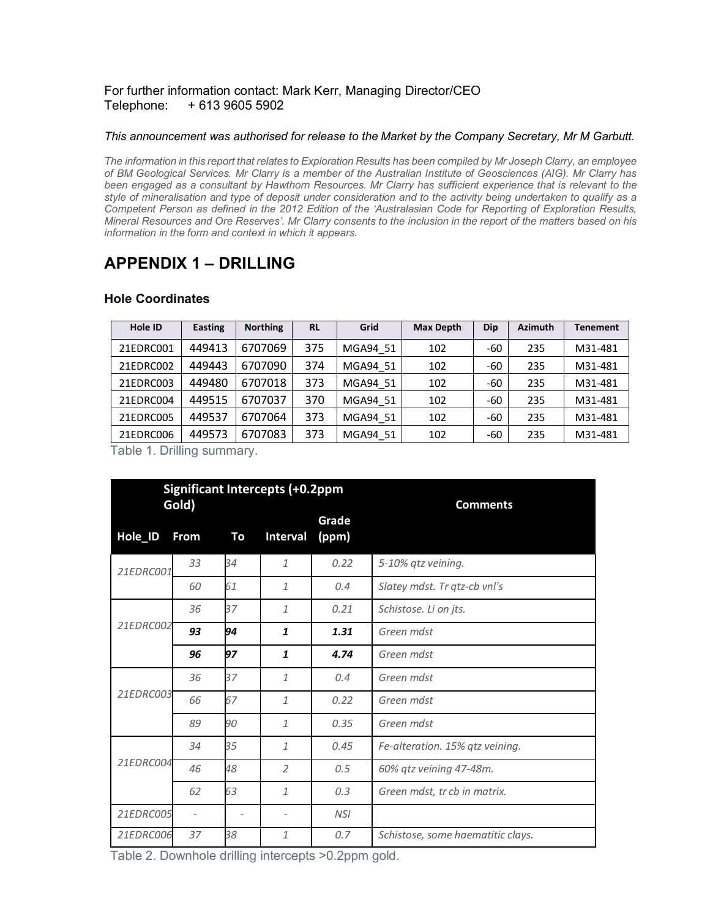#### For further information contact: Mark Kerr, Managing Director/CEO + 613 9605 5902

#### *This announcement was authorised for release to the Market by the Company Secretary, Mr M Garbutt.*

*The information in this report that relates to Exploration Results has been compiled by Mr Joseph Clarry, an employee of BM Geological Services. Mr Clarry is a member of the Australian Institute of Geosciences (AIG). Mr Clarry has been engaged as a consultant by Hawthorn Resources. Mr Clarry has sufficient experience that is relevant to the style of mineralisation and type of deposit under consideration and to the activity being undertaken to qualify as a Competent Person as defined in the 2012 Edition of the 'Australasian Code for Reporting of Exploration Results, Mineral Resources and Ore Reserves'. Mr Clarry consents to the inclusion in the report of the matters based on his information in the form and context in which it appears.*

# **APPENDIX 1 – DRILLING**

#### **Hole Coordinates**

| Hole ID   | <b>Easting</b> | <b>Northing</b> | <b>RL</b> | Grid     | <b>Max Depth</b> | Dip | <b>Azimuth</b> | <b>Tenement</b> |
|-----------|----------------|-----------------|-----------|----------|------------------|-----|----------------|-----------------|
| 21EDRC001 | 449413         | 6707069         | 375       | MGA94 51 | 102              | -60 | 235            | M31-481         |
| 21EDRC002 | 449443         | 6707090         | 374       | MGA94 51 | 102              | -60 | 235            | M31-481         |
| 21EDRC003 | 449480         | 6707018         | 373       | MGA94 51 | 102              | -60 | 235            | M31-481         |
| 21EDRC004 | 449515         | 6707037         | 370       | MGA94 51 | 102              | -60 | 235            | M31-481         |
| 21EDRC005 | 449537         | 6707064         | 373       | MGA94 51 | 102              | -60 | 235            | M31-481         |
| 21EDRC006 | 449573         | 6707083         | 373       | MGA94 51 | 102              | -60 | 235            | M31-481         |

Table 1. Drilling summary.

|           |                          |    | <b>Significant Intercepts (+0.2ppm</b> | <b>Comments</b> |                                   |
|-----------|--------------------------|----|----------------------------------------|-----------------|-----------------------------------|
| Hole_ID   | Gold)<br><b>From</b>     | To | Interval                               | Grade<br>(ppm)  |                                   |
| 21EDRC001 | 33                       | 34 | $\mathcal{I}$                          | 0.22            | 5-10% qtz veining.                |
|           | 60                       | 61 | $\mathcal{I}$                          | 0.4             | Slatey mdst. Tr qtz-cb vnl's      |
|           | 36                       | 37 | $\mathbf{1}$                           | 0.21            | Schistose. Li on jts.             |
| 21EDRC002 | 93                       | 94 | $\mathbf{1}$                           | 1.31            | Green mdst                        |
|           | 96                       | 97 | 1                                      | 4.74            | Green mdst                        |
|           | 36                       | 37 | $\mathcal{I}$                          | 0.4             | Green mdst                        |
| 21EDRC003 | 66                       | 67 | $\mathcal{I}$                          | 0.22            | Green mdst                        |
|           | 89                       | 90 | $\mathbf{1}$                           | 0.35            | Green mdst                        |
|           | 34                       | 35 | $\mathbf{1}$                           | 0.45            | Fe-alteration. 15% qtz veining.   |
| 21EDRC004 | 46                       | 48 | $\mathcal{P}$                          | 0.5             | 60% qtz veining 47-48m.           |
|           | 62                       | 63 | $\mathbf{1}$                           | 0.3             | Green mdst, tr cb in matrix.      |
| 21EDRC005 | $\overline{\phantom{a}}$ |    | $\qquad \qquad -$                      | <b>NSI</b>      |                                   |
| 21EDRC006 | 37                       | 38 | $\mathbf{1}$                           | 0.7             | Schistose, some haematitic clays. |

Table 2. Downhole drilling intercepts >0.2ppm gold.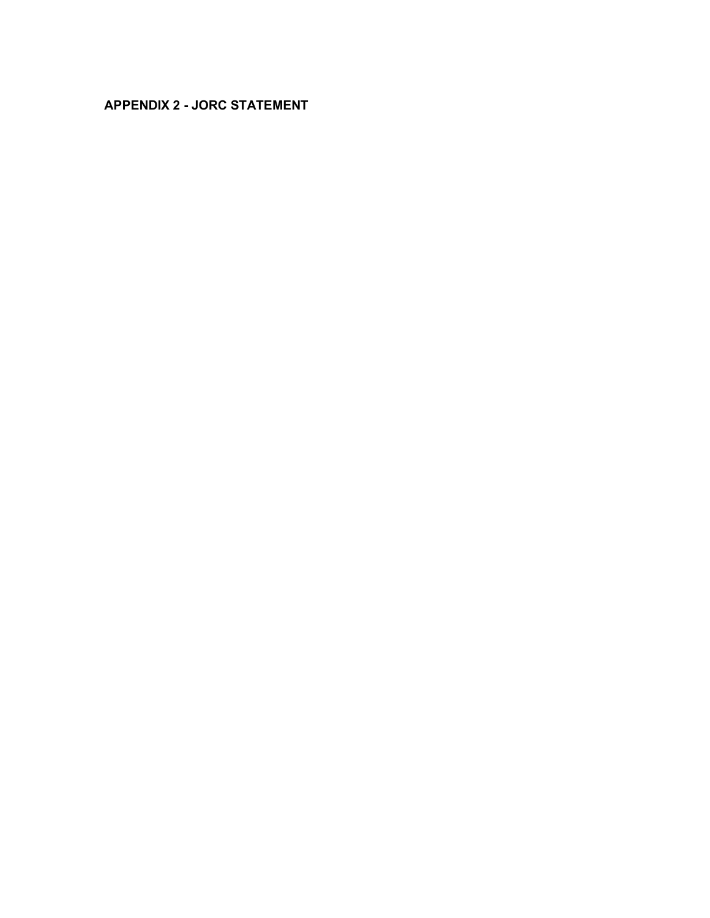## **APPENDIX 2 - JORC STATEMENT**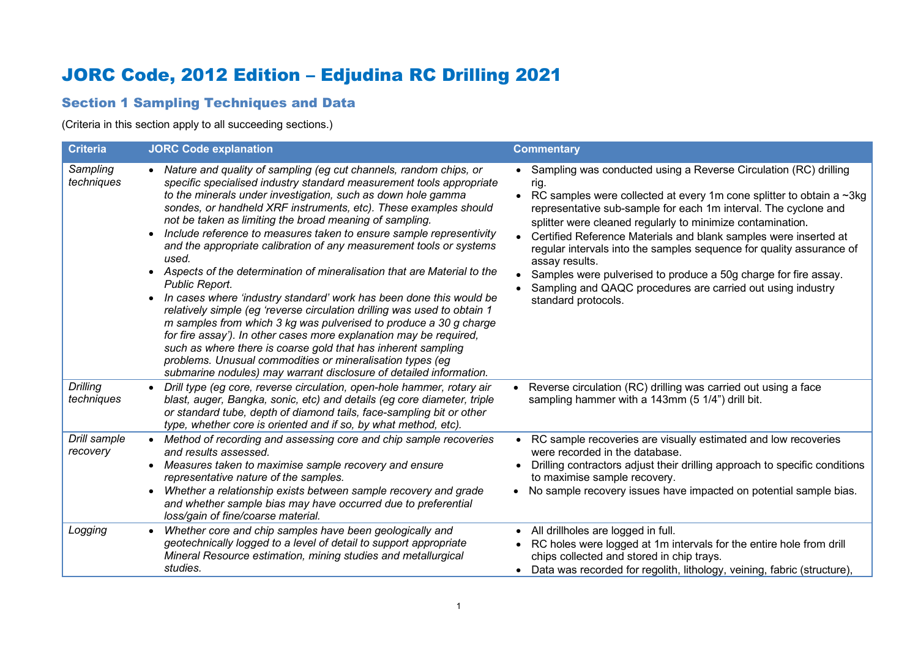# JORC Code, 2012 Edition – Edjudina RC Drilling 2021

## Section 1 Sampling Techniques and Data

(Criteria in this section apply to all succeeding sections.)

| <b>Criteria</b>               | <b>JORC Code explanation</b>                                                                                                                                                                                                                                                                                                                                                                                                                                                                                                                                                                                                                                                                                                                                                                                                                                                                                                                                                                                                                                                                       | <b>Commentary</b>                                                                                                                                                                                                                                                                                                                                                                                                                                                                                                                                                                                                                          |
|-------------------------------|----------------------------------------------------------------------------------------------------------------------------------------------------------------------------------------------------------------------------------------------------------------------------------------------------------------------------------------------------------------------------------------------------------------------------------------------------------------------------------------------------------------------------------------------------------------------------------------------------------------------------------------------------------------------------------------------------------------------------------------------------------------------------------------------------------------------------------------------------------------------------------------------------------------------------------------------------------------------------------------------------------------------------------------------------------------------------------------------------|--------------------------------------------------------------------------------------------------------------------------------------------------------------------------------------------------------------------------------------------------------------------------------------------------------------------------------------------------------------------------------------------------------------------------------------------------------------------------------------------------------------------------------------------------------------------------------------------------------------------------------------------|
| Sampling<br>techniques        | • Nature and quality of sampling (eg cut channels, random chips, or<br>specific specialised industry standard measurement tools appropriate<br>to the minerals under investigation, such as down hole gamma<br>sondes, or handheld XRF instruments, etc). These examples should<br>not be taken as limiting the broad meaning of sampling.<br>Include reference to measures taken to ensure sample representivity<br>and the appropriate calibration of any measurement tools or systems<br>used.<br>• Aspects of the determination of mineralisation that are Material to the<br>Public Report.<br>In cases where 'industry standard' work has been done this would be<br>relatively simple (eg 'reverse circulation drilling was used to obtain 1<br>m samples from which 3 kg was pulverised to produce a 30 g charge<br>for fire assay'). In other cases more explanation may be required,<br>such as where there is coarse gold that has inherent sampling<br>problems. Unusual commodities or mineralisation types (eg<br>submarine nodules) may warrant disclosure of detailed information. | • Sampling was conducted using a Reverse Circulation (RC) drilling<br>rig.<br>RC samples were collected at every 1m cone splitter to obtain a $\sim$ 3kg<br>$\bullet$<br>representative sub-sample for each 1m interval. The cyclone and<br>splitter were cleaned regularly to minimize contamination.<br>Certified Reference Materials and blank samples were inserted at<br>$\bullet$<br>regular intervals into the samples sequence for quality assurance of<br>assay results.<br>Samples were pulverised to produce a 50g charge for fire assay.<br>Sampling and QAQC procedures are carried out using industry<br>standard protocols. |
| <b>Drilling</b><br>techniques | Drill type (eg core, reverse circulation, open-hole hammer, rotary air<br>blast, auger, Bangka, sonic, etc) and details (eg core diameter, triple<br>or standard tube, depth of diamond tails, face-sampling bit or other<br>type, whether core is oriented and if so, by what method, etc).                                                                                                                                                                                                                                                                                                                                                                                                                                                                                                                                                                                                                                                                                                                                                                                                       | Reverse circulation (RC) drilling was carried out using a face<br>sampling hammer with a 143mm (5 1/4") drill bit.                                                                                                                                                                                                                                                                                                                                                                                                                                                                                                                         |
| Drill sample<br>recovery      | • Method of recording and assessing core and chip sample recoveries<br>and results assessed.<br>Measures taken to maximise sample recovery and ensure<br>$\bullet$<br>representative nature of the samples.<br>Whether a relationship exists between sample recovery and grade<br>and whether sample bias may have occurred due to preferential<br>loss/gain of fine/coarse material.                                                                                                                                                                                                                                                                                                                                                                                                                                                                                                                                                                                                                                                                                                              | • RC sample recoveries are visually estimated and low recoveries<br>were recorded in the database.<br>Drilling contractors adjust their drilling approach to specific conditions<br>to maximise sample recovery.<br>• No sample recovery issues have impacted on potential sample bias.                                                                                                                                                                                                                                                                                                                                                    |
| Logging                       | Whether core and chip samples have been geologically and<br>$\bullet$<br>geotechnically logged to a level of detail to support appropriate<br>Mineral Resource estimation, mining studies and metallurgical<br>studies.                                                                                                                                                                                                                                                                                                                                                                                                                                                                                                                                                                                                                                                                                                                                                                                                                                                                            | All drillholes are logged in full.<br>RC holes were logged at 1m intervals for the entire hole from drill<br>chips collected and stored in chip trays.<br>• Data was recorded for regolith, lithology, veining, fabric (structure),                                                                                                                                                                                                                                                                                                                                                                                                        |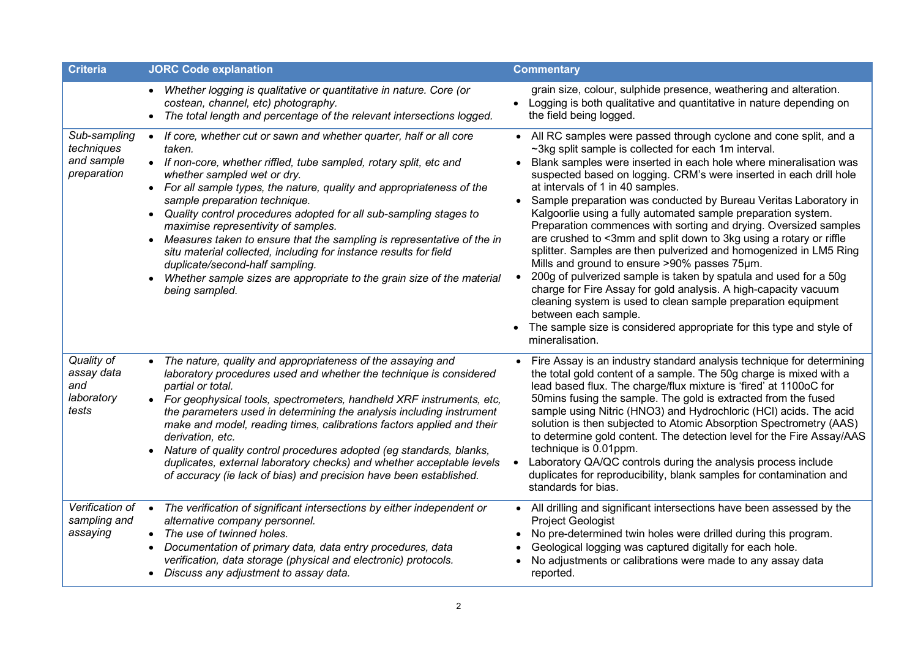| <b>Criteria</b>                                         | <b>JORC Code explanation</b>                                                                                                                                                                                                                                                                                                                                                                                                                                                                                                                                                                                                                                                                                        | <b>Commentary</b>                                                                                                                                                                                                                                                                                                                                                                                                                                                                                                                                                                                                                                                                                                                                                                                                                                                                                                                                                                                                                                       |
|---------------------------------------------------------|---------------------------------------------------------------------------------------------------------------------------------------------------------------------------------------------------------------------------------------------------------------------------------------------------------------------------------------------------------------------------------------------------------------------------------------------------------------------------------------------------------------------------------------------------------------------------------------------------------------------------------------------------------------------------------------------------------------------|---------------------------------------------------------------------------------------------------------------------------------------------------------------------------------------------------------------------------------------------------------------------------------------------------------------------------------------------------------------------------------------------------------------------------------------------------------------------------------------------------------------------------------------------------------------------------------------------------------------------------------------------------------------------------------------------------------------------------------------------------------------------------------------------------------------------------------------------------------------------------------------------------------------------------------------------------------------------------------------------------------------------------------------------------------|
|                                                         | • Whether logging is qualitative or quantitative in nature. Core (or<br>costean, channel, etc) photography.<br>• The total length and percentage of the relevant intersections logged.                                                                                                                                                                                                                                                                                                                                                                                                                                                                                                                              | grain size, colour, sulphide presence, weathering and alteration.<br>• Logging is both qualitative and quantitative in nature depending on<br>the field being logged.                                                                                                                                                                                                                                                                                                                                                                                                                                                                                                                                                                                                                                                                                                                                                                                                                                                                                   |
| Sub-sampling<br>techniques<br>and sample<br>preparation | If core, whether cut or sawn and whether quarter, half or all core<br>$\bullet$<br>taken.<br>• If non-core, whether riffled, tube sampled, rotary split, etc and<br>whether sampled wet or dry.<br>• For all sample types, the nature, quality and appropriateness of the<br>sample preparation technique.<br>• Quality control procedures adopted for all sub-sampling stages to<br>maximise representivity of samples.<br>Measures taken to ensure that the sampling is representative of the in<br>$\bullet$<br>situ material collected, including for instance results for field<br>duplicate/second-half sampling.<br>Whether sample sizes are appropriate to the grain size of the material<br>being sampled. | • All RC samples were passed through cyclone and cone split, and a<br>~3kg split sample is collected for each 1m interval.<br>Blank samples were inserted in each hole where mineralisation was<br>suspected based on logging. CRM's were inserted in each drill hole<br>at intervals of 1 in 40 samples.<br>• Sample preparation was conducted by Bureau Veritas Laboratory in<br>Kalgoorlie using a fully automated sample preparation system.<br>Preparation commences with sorting and drying. Oversized samples<br>are crushed to <3mm and split down to 3kg using a rotary or riffle<br>splitter. Samples are then pulverized and homogenized in LM5 Ring<br>Mills and ground to ensure >90% passes 75µm.<br>200g of pulverized sample is taken by spatula and used for a 50g<br>$\bullet$<br>charge for Fire Assay for gold analysis. A high-capacity vacuum<br>cleaning system is used to clean sample preparation equipment<br>between each sample.<br>The sample size is considered appropriate for this type and style of<br>mineralisation. |
| Quality of<br>assay data<br>and<br>laboratory<br>tests  | The nature, quality and appropriateness of the assaying and<br>laboratory procedures used and whether the technique is considered<br>partial or total.<br>• For geophysical tools, spectrometers, handheld XRF instruments, etc,<br>the parameters used in determining the analysis including instrument<br>make and model, reading times, calibrations factors applied and their<br>derivation, etc.<br>Nature of quality control procedures adopted (eg standards, blanks,<br>$\bullet$<br>duplicates, external laboratory checks) and whether acceptable levels<br>of accuracy (ie lack of bias) and precision have been established.                                                                            | Fire Assay is an industry standard analysis technique for determining<br>the total gold content of a sample. The 50g charge is mixed with a<br>lead based flux. The charge/flux mixture is 'fired' at 1100oC for<br>50mins fusing the sample. The gold is extracted from the fused<br>sample using Nitric (HNO3) and Hydrochloric (HCl) acids. The acid<br>solution is then subjected to Atomic Absorption Spectrometry (AAS)<br>to determine gold content. The detection level for the Fire Assay/AAS<br>technique is 0.01ppm.<br>Laboratory QA/QC controls during the analysis process include<br>duplicates for reproducibility, blank samples for contamination and<br>standards for bias.                                                                                                                                                                                                                                                                                                                                                          |
| Verification of<br>sampling and<br>assaying             | The verification of significant intersections by either independent or<br>$\bullet$<br>alternative company personnel.<br>• The use of twinned holes.<br>Documentation of primary data, data entry procedures, data<br>$\bullet$<br>verification, data storage (physical and electronic) protocols.<br>• Discuss any adjustment to assay data.                                                                                                                                                                                                                                                                                                                                                                       | • All drilling and significant intersections have been assessed by the<br>Project Geologist<br>No pre-determined twin holes were drilled during this program.<br>Geological logging was captured digitally for each hole.<br>No adjustments or calibrations were made to any assay data<br>reported.                                                                                                                                                                                                                                                                                                                                                                                                                                                                                                                                                                                                                                                                                                                                                    |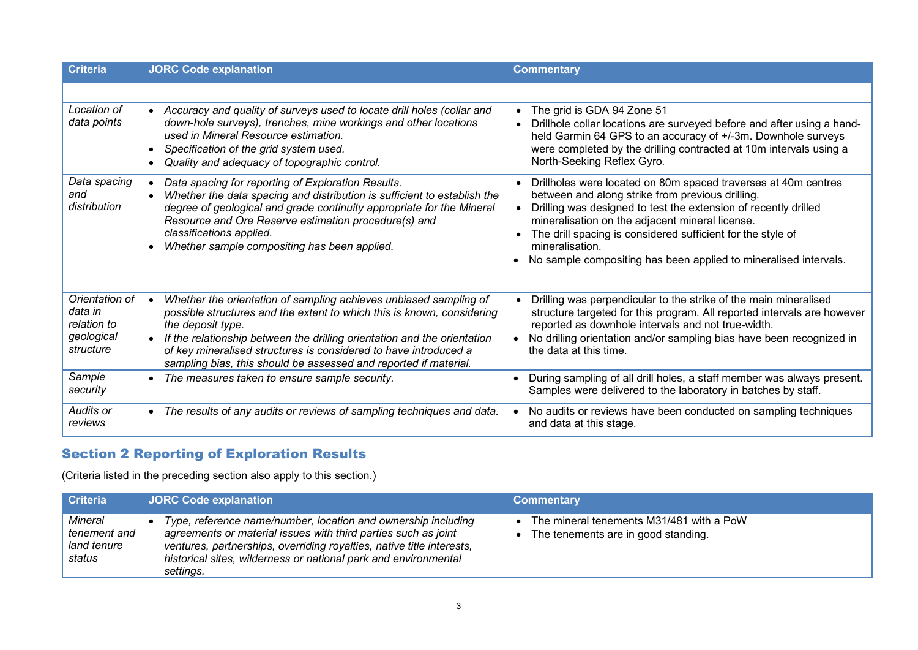| <b>Criteria</b>                                                     | <b>JORC Code explanation</b>                                                                                                                                                                                                                                                                                                                                                                      | <b>Commentary</b>                                                                                                                                                                                                                                                                                                                                                                                           |
|---------------------------------------------------------------------|---------------------------------------------------------------------------------------------------------------------------------------------------------------------------------------------------------------------------------------------------------------------------------------------------------------------------------------------------------------------------------------------------|-------------------------------------------------------------------------------------------------------------------------------------------------------------------------------------------------------------------------------------------------------------------------------------------------------------------------------------------------------------------------------------------------------------|
|                                                                     |                                                                                                                                                                                                                                                                                                                                                                                                   |                                                                                                                                                                                                                                                                                                                                                                                                             |
| Location of<br>data points                                          | • Accuracy and quality of surveys used to locate drill holes (collar and<br>down-hole surveys), trenches, mine workings and other locations<br>used in Mineral Resource estimation.<br>Specification of the grid system used.<br>$\bullet$<br>Quality and adequacy of topographic control.                                                                                                        | • The grid is GDA 94 Zone 51<br>Drillhole collar locations are surveyed before and after using a hand-<br>$\bullet$<br>held Garmin 64 GPS to an accuracy of +/-3m. Downhole surveys<br>were completed by the drilling contracted at 10m intervals using a<br>North-Seeking Reflex Gyro.                                                                                                                     |
| Data spacing<br>and<br>distribution                                 | Data spacing for reporting of Exploration Results.<br>$\bullet$<br>Whether the data spacing and distribution is sufficient to establish the<br>$\bullet$<br>degree of geological and grade continuity appropriate for the Mineral<br>Resource and Ore Reserve estimation procedure(s) and<br>classifications applied.<br>Whether sample compositing has been applied.                             | Drillholes were located on 80m spaced traverses at 40m centres<br>between and along strike from previous drilling.<br>Drilling was designed to test the extension of recently drilled<br>$\bullet$<br>mineralisation on the adjacent mineral license.<br>The drill spacing is considered sufficient for the style of<br>mineralisation.<br>No sample compositing has been applied to mineralised intervals. |
| Orientation of<br>data in<br>relation to<br>geological<br>structure | Whether the orientation of sampling achieves unbiased sampling of<br>possible structures and the extent to which this is known, considering<br>the deposit type.<br>If the relationship between the drilling orientation and the orientation<br>$\bullet$<br>of key mineralised structures is considered to have introduced a<br>sampling bias, this should be assessed and reported if material. | Drilling was perpendicular to the strike of the main mineralised<br>structure targeted for this program. All reported intervals are however<br>reported as downhole intervals and not true-width.<br>No drilling orientation and/or sampling bias have been recognized in<br>the data at this time.                                                                                                         |
| Sample<br>security                                                  | The measures taken to ensure sample security.<br>$\bullet$                                                                                                                                                                                                                                                                                                                                        | During sampling of all drill holes, a staff member was always present.<br>Samples were delivered to the laboratory in batches by staff.                                                                                                                                                                                                                                                                     |
| Audits or<br>reviews                                                | The results of any audits or reviews of sampling techniques and data.<br>$\bullet$                                                                                                                                                                                                                                                                                                                | No audits or reviews have been conducted on sampling techniques<br>and data at this stage.                                                                                                                                                                                                                                                                                                                  |

# Section 2 Reporting of Exploration Results

(Criteria listed in the preceding section also apply to this section.)

| <b>Criteria</b>                                  | <b>JORC Code explanation</b>                                                                                                                                                                                                                                                             | <b>Commentary</b>                                                               |
|--------------------------------------------------|------------------------------------------------------------------------------------------------------------------------------------------------------------------------------------------------------------------------------------------------------------------------------------------|---------------------------------------------------------------------------------|
| Mineral<br>tenement and<br>land tenure<br>status | Type, reference name/number, location and ownership including<br>agreements or material issues with third parties such as joint<br>ventures, partnerships, overriding royalties, native title interests,<br>historical sites, wilderness or national park and environmental<br>settings. | The mineral tenements M31/481 with a PoW<br>The tenements are in good standing. |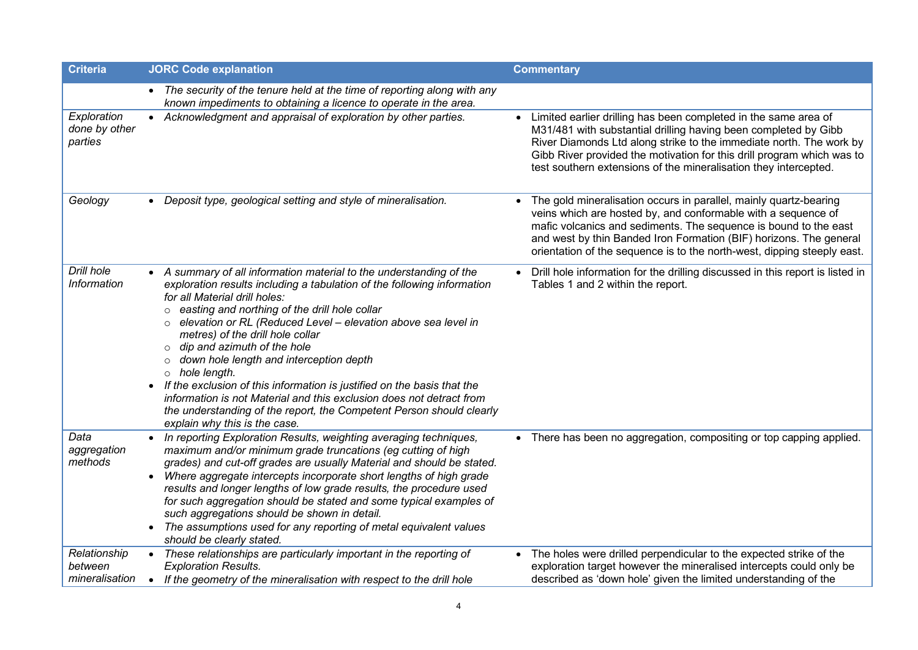| <b>Criteria</b>                           | <b>JORC Code explanation</b>                                                                                                                                                                                                                                                                                                                                                                                                                                                                                                                                                                                                                                                                                                      | <b>Commentary</b>                                                                                                                                                                                                                                                                                                                                                    |
|-------------------------------------------|-----------------------------------------------------------------------------------------------------------------------------------------------------------------------------------------------------------------------------------------------------------------------------------------------------------------------------------------------------------------------------------------------------------------------------------------------------------------------------------------------------------------------------------------------------------------------------------------------------------------------------------------------------------------------------------------------------------------------------------|----------------------------------------------------------------------------------------------------------------------------------------------------------------------------------------------------------------------------------------------------------------------------------------------------------------------------------------------------------------------|
|                                           | • The security of the tenure held at the time of reporting along with any<br>known impediments to obtaining a licence to operate in the area.                                                                                                                                                                                                                                                                                                                                                                                                                                                                                                                                                                                     |                                                                                                                                                                                                                                                                                                                                                                      |
| Exploration<br>done by other<br>parties   | • Acknowledgment and appraisal of exploration by other parties.                                                                                                                                                                                                                                                                                                                                                                                                                                                                                                                                                                                                                                                                   | Limited earlier drilling has been completed in the same area of<br>$\bullet$<br>M31/481 with substantial drilling having been completed by Gibb<br>River Diamonds Ltd along strike to the immediate north. The work by<br>Gibb River provided the motivation for this drill program which was to<br>test southern extensions of the mineralisation they intercepted. |
| Geology                                   | Deposit type, geological setting and style of mineralisation.                                                                                                                                                                                                                                                                                                                                                                                                                                                                                                                                                                                                                                                                     | The gold mineralisation occurs in parallel, mainly quartz-bearing<br>veins which are hosted by, and conformable with a sequence of<br>mafic volcanics and sediments. The sequence is bound to the east<br>and west by thin Banded Iron Formation (BIF) horizons. The general<br>orientation of the sequence is to the north-west, dipping steeply east.              |
| <b>Drill hole</b><br>Information          | A summary of all information material to the understanding of the<br>exploration results including a tabulation of the following information<br>for all Material drill holes:<br>$\circ$ easting and northing of the drill hole collar<br>elevation or RL (Reduced Level - elevation above sea level in<br>$\Omega$<br>metres) of the drill hole collar<br>$\circ$ dip and azimuth of the hole<br>o down hole length and interception depth<br>$\circ$ hole length.<br>• If the exclusion of this information is justified on the basis that the<br>information is not Material and this exclusion does not detract from<br>the understanding of the report, the Competent Person should clearly<br>explain why this is the case. | Drill hole information for the drilling discussed in this report is listed in<br>Tables 1 and 2 within the report.                                                                                                                                                                                                                                                   |
| Data<br>aggregation<br>methods            | In reporting Exploration Results, weighting averaging techniques,<br>maximum and/or minimum grade truncations (eg cutting of high<br>grades) and cut-off grades are usually Material and should be stated.<br>Where aggregate intercepts incorporate short lengths of high grade<br>$\bullet$<br>results and longer lengths of low grade results, the procedure used<br>for such aggregation should be stated and some typical examples of<br>such aggregations should be shown in detail.<br>The assumptions used for any reporting of metal equivalent values<br>$\bullet$<br>should be clearly stated.                                                                                                                         | • There has been no aggregation, compositing or top capping applied.                                                                                                                                                                                                                                                                                                 |
| Relationship<br>between<br>mineralisation | • These relationships are particularly important in the reporting of<br><b>Exploration Results.</b><br>• If the geometry of the mineralisation with respect to the drill hole                                                                                                                                                                                                                                                                                                                                                                                                                                                                                                                                                     | The holes were drilled perpendicular to the expected strike of the<br>exploration target however the mineralised intercepts could only be<br>described as 'down hole' given the limited understanding of the                                                                                                                                                         |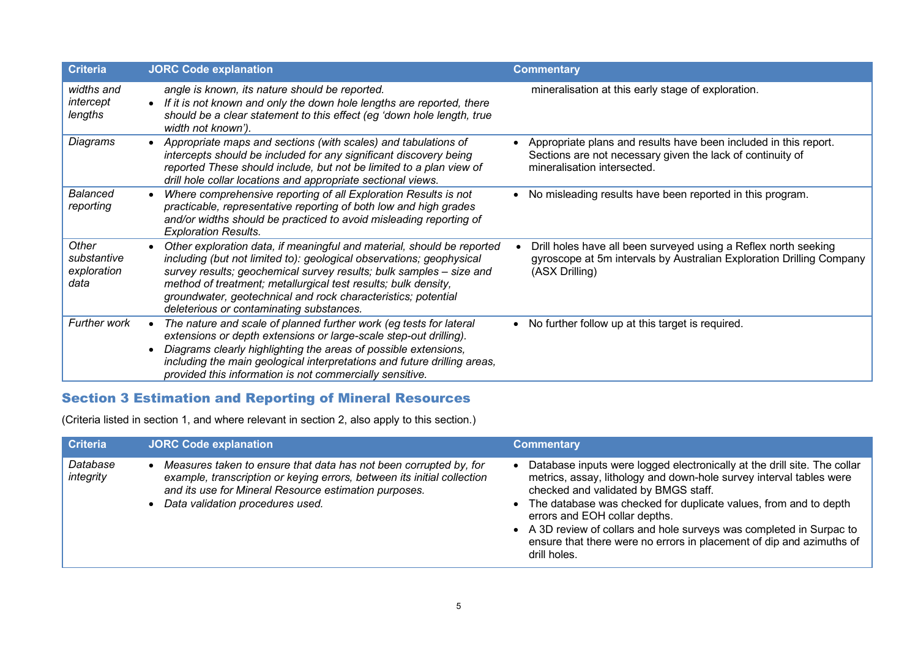| <b>Criteria</b>                             | <b>JORC Code explanation</b>                                                                                                                                                                                                                                                                                                                                                                         | <b>Commentary</b>                                                                                                                                               |
|---------------------------------------------|------------------------------------------------------------------------------------------------------------------------------------------------------------------------------------------------------------------------------------------------------------------------------------------------------------------------------------------------------------------------------------------------------|-----------------------------------------------------------------------------------------------------------------------------------------------------------------|
| widths and<br>intercept<br>lengths          | angle is known, its nature should be reported.<br>• If it is not known and only the down hole lengths are reported, there<br>should be a clear statement to this effect (eg 'down hole length, true<br>width not known').                                                                                                                                                                            | mineralisation at this early stage of exploration.                                                                                                              |
| Diagrams                                    | • Appropriate maps and sections (with scales) and tabulations of<br>intercepts should be included for any significant discovery being<br>reported These should include, but not be limited to a plan view of<br>drill hole collar locations and appropriate sectional views.                                                                                                                         | • Appropriate plans and results have been included in this report.<br>Sections are not necessary given the lack of continuity of<br>mineralisation intersected. |
| <b>Balanced</b><br>reporting                | Where comprehensive reporting of all Exploration Results is not<br>practicable, representative reporting of both low and high grades<br>and/or widths should be practiced to avoid misleading reporting of<br><b>Exploration Results.</b>                                                                                                                                                            | • No misleading results have been reported in this program.                                                                                                     |
| Other<br>substantive<br>exploration<br>data | Other exploration data, if meaningful and material, should be reported<br>including (but not limited to): geological observations; geophysical<br>survey results; geochemical survey results; bulk samples - size and<br>method of treatment; metallurgical test results; bulk density,<br>groundwater, geotechnical and rock characteristics; potential<br>deleterious or contaminating substances. | Drill holes have all been surveyed using a Reflex north seeking<br>gyroscope at 5m intervals by Australian Exploration Drilling Company<br>(ASX Drilling)       |
| Further work                                | The nature and scale of planned further work (eg tests for lateral<br>extensions or depth extensions or large-scale step-out drilling).<br>Diagrams clearly highlighting the areas of possible extensions,<br>including the main geological interpretations and future drilling areas,<br>provided this information is not commercially sensitive.                                                   | • No further follow up at this target is required.                                                                                                              |

## Section 3 Estimation and Reporting of Mineral Resources

(Criteria listed in section 1, and where relevant in section 2, also apply to this section.)

| <b>Criteria</b>       | <b>JORC Code explanation</b>                                                                                                                                                                                                              | <b>Commentary</b>                                                                                                                                                                                                                                                                                                                                                                                                                                              |
|-----------------------|-------------------------------------------------------------------------------------------------------------------------------------------------------------------------------------------------------------------------------------------|----------------------------------------------------------------------------------------------------------------------------------------------------------------------------------------------------------------------------------------------------------------------------------------------------------------------------------------------------------------------------------------------------------------------------------------------------------------|
| Database<br>integrity | Measures taken to ensure that data has not been corrupted by, for<br>example, transcription or keying errors, between its initial collection<br>and its use for Mineral Resource estimation purposes.<br>Data validation procedures used. | Database inputs were logged electronically at the drill site. The collar<br>metrics, assay, lithology and down-hole survey interval tables were<br>checked and validated by BMGS staff.<br>• The database was checked for duplicate values, from and to depth<br>errors and EOH collar depths.<br>• A 3D review of collars and hole surveys was completed in Surpac to<br>ensure that there were no errors in placement of dip and azimuths of<br>drill holes. |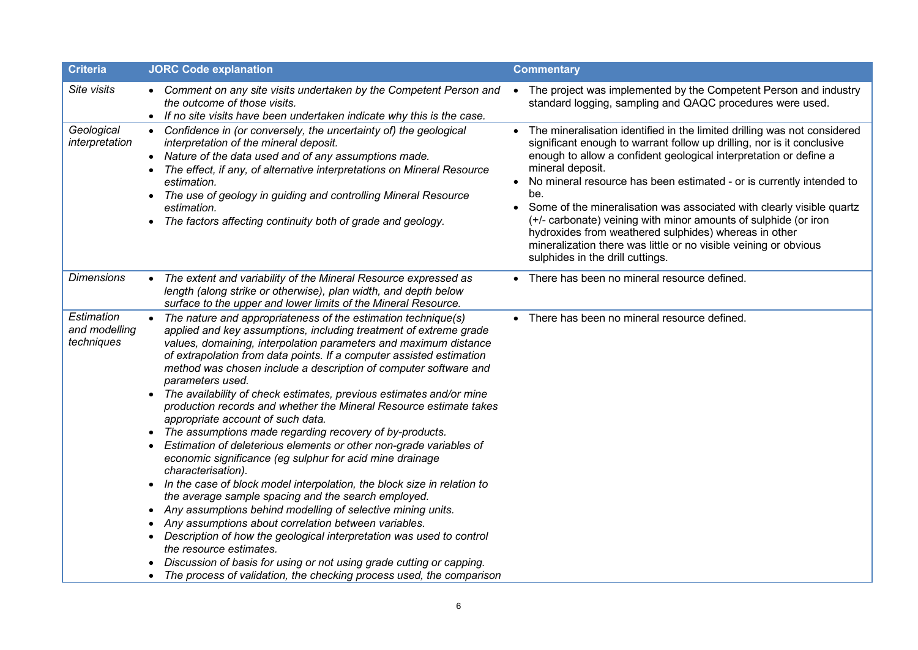| <b>Criteria</b>                           | <b>JORC Code explanation</b>                                                                                                                                                                                                                                                                                                                                                                                                                                                                                                                                                                                                                                                                                                                                                                                                                                                                                                                                                                                                                                                                                                                                                                                                                             | <b>Commentary</b>                                                                                                                                                                                                                                                                                                                                                                                                                                                                                                                                                                                                                                      |
|-------------------------------------------|----------------------------------------------------------------------------------------------------------------------------------------------------------------------------------------------------------------------------------------------------------------------------------------------------------------------------------------------------------------------------------------------------------------------------------------------------------------------------------------------------------------------------------------------------------------------------------------------------------------------------------------------------------------------------------------------------------------------------------------------------------------------------------------------------------------------------------------------------------------------------------------------------------------------------------------------------------------------------------------------------------------------------------------------------------------------------------------------------------------------------------------------------------------------------------------------------------------------------------------------------------|--------------------------------------------------------------------------------------------------------------------------------------------------------------------------------------------------------------------------------------------------------------------------------------------------------------------------------------------------------------------------------------------------------------------------------------------------------------------------------------------------------------------------------------------------------------------------------------------------------------------------------------------------------|
| Site visits                               | • Comment on any site visits undertaken by the Competent Person and<br>the outcome of those visits.<br>• If no site visits have been undertaken indicate why this is the case.                                                                                                                                                                                                                                                                                                                                                                                                                                                                                                                                                                                                                                                                                                                                                                                                                                                                                                                                                                                                                                                                           | The project was implemented by the Competent Person and industry<br>$\bullet$<br>standard logging, sampling and QAQC procedures were used.                                                                                                                                                                                                                                                                                                                                                                                                                                                                                                             |
| Geological<br>interpretation              | Confidence in (or conversely, the uncertainty of) the geological<br>$\bullet$<br>interpretation of the mineral deposit.<br>• Nature of the data used and of any assumptions made.<br>The effect, if any, of alternative interpretations on Mineral Resource<br>$\bullet$<br>estimation.<br>The use of geology in guiding and controlling Mineral Resource<br>$\bullet$<br>estimation.<br>The factors affecting continuity both of grade and geology.<br>$\bullet$                                                                                                                                                                                                                                                                                                                                                                                                                                                                                                                                                                                                                                                                                                                                                                                        | • The mineralisation identified in the limited drilling was not considered<br>significant enough to warrant follow up drilling, nor is it conclusive<br>enough to allow a confident geological interpretation or define a<br>mineral deposit.<br>No mineral resource has been estimated - or is currently intended to<br>be.<br>Some of the mineralisation was associated with clearly visible quartz<br>$\bullet$<br>(+/- carbonate) veining with minor amounts of sulphide (or iron<br>hydroxides from weathered sulphides) whereas in other<br>mineralization there was little or no visible veining or obvious<br>sulphides in the drill cuttings. |
| <b>Dimensions</b>                         | The extent and variability of the Mineral Resource expressed as<br>$\bullet$<br>length (along strike or otherwise), plan width, and depth below<br>surface to the upper and lower limits of the Mineral Resource.                                                                                                                                                                                                                                                                                                                                                                                                                                                                                                                                                                                                                                                                                                                                                                                                                                                                                                                                                                                                                                        | • There has been no mineral resource defined.                                                                                                                                                                                                                                                                                                                                                                                                                                                                                                                                                                                                          |
| Estimation<br>and modelling<br>techniques | The nature and appropriateness of the estimation technique(s)<br>applied and key assumptions, including treatment of extreme grade<br>values, domaining, interpolation parameters and maximum distance<br>of extrapolation from data points. If a computer assisted estimation<br>method was chosen include a description of computer software and<br>parameters used.<br>The availability of check estimates, previous estimates and/or mine<br>$\bullet$<br>production records and whether the Mineral Resource estimate takes<br>appropriate account of such data.<br>The assumptions made regarding recovery of by-products.<br>$\bullet$<br>Estimation of deleterious elements or other non-grade variables of<br>economic significance (eg sulphur for acid mine drainage<br>characterisation).<br>• In the case of block model interpolation, the block size in relation to<br>the average sample spacing and the search employed.<br>Any assumptions behind modelling of selective mining units.<br>$\bullet$<br>Any assumptions about correlation between variables.<br>Description of how the geological interpretation was used to control<br>the resource estimates.<br>Discussion of basis for using or not using grade cutting or capping. | • There has been no mineral resource defined.                                                                                                                                                                                                                                                                                                                                                                                                                                                                                                                                                                                                          |
|                                           | • The process of validation, the checking process used, the comparison                                                                                                                                                                                                                                                                                                                                                                                                                                                                                                                                                                                                                                                                                                                                                                                                                                                                                                                                                                                                                                                                                                                                                                                   |                                                                                                                                                                                                                                                                                                                                                                                                                                                                                                                                                                                                                                                        |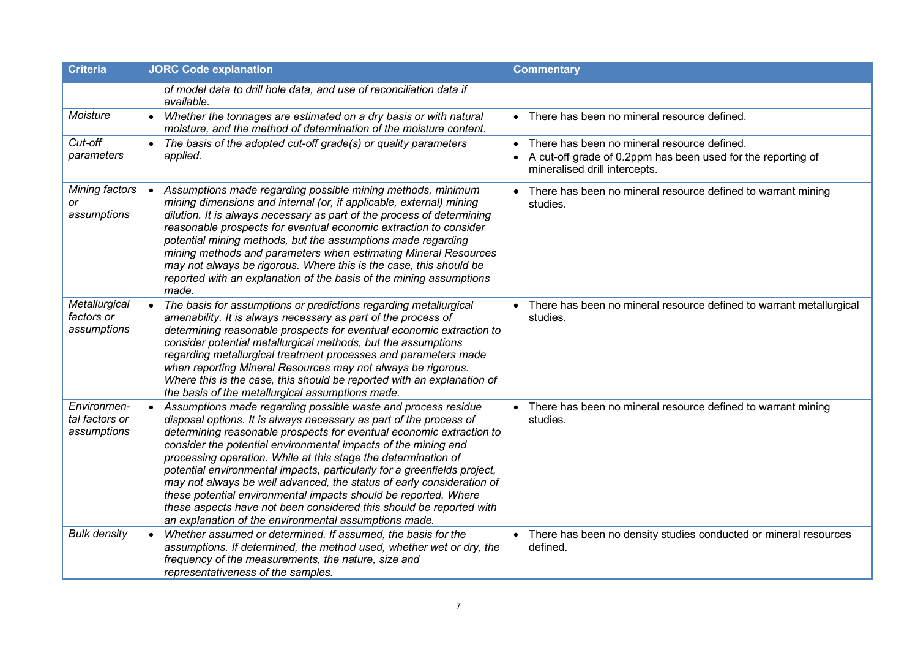| <b>Criteria</b>                              | <b>JORC Code explanation</b>                                                                                                                                                                                                                                                                                                                                                                                                                                                                                                                                                                                                                                                                              | <b>Commentary</b>                                                                                                                                |
|----------------------------------------------|-----------------------------------------------------------------------------------------------------------------------------------------------------------------------------------------------------------------------------------------------------------------------------------------------------------------------------------------------------------------------------------------------------------------------------------------------------------------------------------------------------------------------------------------------------------------------------------------------------------------------------------------------------------------------------------------------------------|--------------------------------------------------------------------------------------------------------------------------------------------------|
|                                              | of model data to drill hole data, and use of reconciliation data if<br>available.                                                                                                                                                                                                                                                                                                                                                                                                                                                                                                                                                                                                                         |                                                                                                                                                  |
| Moisture                                     | Whether the tonnages are estimated on a dry basis or with natural<br>moisture, and the method of determination of the moisture content.                                                                                                                                                                                                                                                                                                                                                                                                                                                                                                                                                                   | • There has been no mineral resource defined.                                                                                                    |
| Cut-off<br>parameters                        | • The basis of the adopted cut-off grade(s) or quality parameters<br>applied.                                                                                                                                                                                                                                                                                                                                                                                                                                                                                                                                                                                                                             | • There has been no mineral resource defined.<br>• A cut-off grade of 0.2ppm has been used for the reporting of<br>mineralised drill intercepts. |
| Mining factors<br>or<br>assumptions          | Assumptions made regarding possible mining methods, minimum<br>mining dimensions and internal (or, if applicable, external) mining<br>dilution. It is always necessary as part of the process of determining<br>reasonable prospects for eventual economic extraction to consider<br>potential mining methods, but the assumptions made regarding<br>mining methods and parameters when estimating Mineral Resources<br>may not always be rigorous. Where this is the case, this should be<br>reported with an explanation of the basis of the mining assumptions<br>made.                                                                                                                                | • There has been no mineral resource defined to warrant mining<br>studies.                                                                       |
| Metallurgical<br>factors or<br>assumptions   | The basis for assumptions or predictions regarding metallurgical<br>amenability. It is always necessary as part of the process of<br>determining reasonable prospects for eventual economic extraction to<br>consider potential metallurgical methods, but the assumptions<br>regarding metallurgical treatment processes and parameters made<br>when reporting Mineral Resources may not always be rigorous.<br>Where this is the case, this should be reported with an explanation of<br>the basis of the metallurgical assumptions made.                                                                                                                                                               | • There has been no mineral resource defined to warrant metallurgical<br>studies.                                                                |
| Environmen-<br>tal factors or<br>assumptions | • Assumptions made regarding possible waste and process residue<br>disposal options. It is always necessary as part of the process of<br>determining reasonable prospects for eventual economic extraction to<br>consider the potential environmental impacts of the mining and<br>processing operation. While at this stage the determination of<br>potential environmental impacts, particularly for a greenfields project,<br>may not always be well advanced, the status of early consideration of<br>these potential environmental impacts should be reported. Where<br>these aspects have not been considered this should be reported with<br>an explanation of the environmental assumptions made. | • There has been no mineral resource defined to warrant mining<br>studies.                                                                       |
| <b>Bulk density</b>                          | Whether assumed or determined. If assumed, the basis for the<br>$\bullet$<br>assumptions. If determined, the method used, whether wet or dry, the<br>frequency of the measurements, the nature, size and<br>representativeness of the samples.                                                                                                                                                                                                                                                                                                                                                                                                                                                            | There has been no density studies conducted or mineral resources<br>defined.                                                                     |